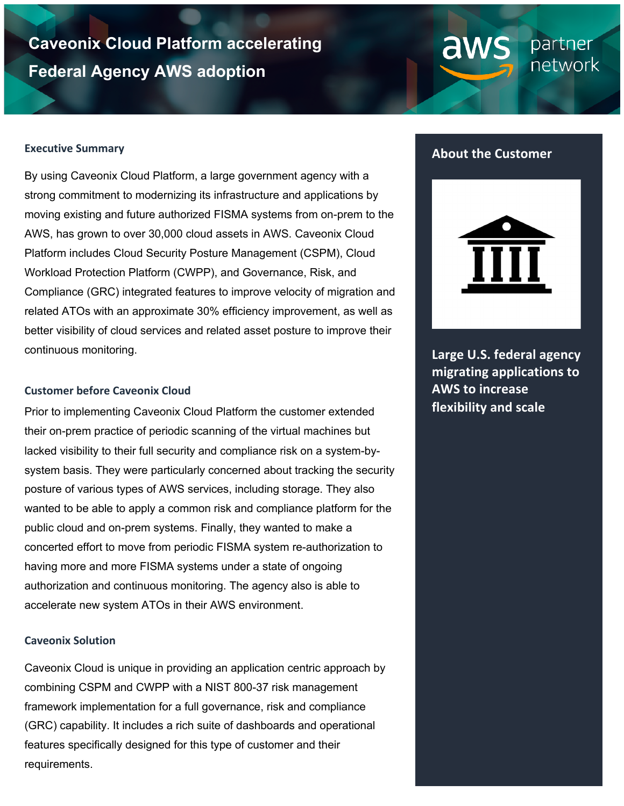# **Caveonix Cloud Platform accelerating Federal Agency AWS adoption**

#### **Executive Summary**

By using Caveonix Cloud Platform, a large government agency with a strong commitment to modernizing its infrastructure and applications by moving existing and future authorized FISMA systems from on-prem to the AWS, has grown to over 30,000 cloud assets in AWS. Caveonix Cloud Platform includes Cloud Security Posture Management (CSPM), Cloud Workload Protection Platform (CWPP), and Governance, Risk, and Compliance (GRC) integrated features to improve velocity of migration and related ATOs with an approximate 30% efficiency improvement, as well as better visibility of cloud services and related asset posture to improve their continuous monitoring.

#### **Customer before Caveonix Cloud**

Prior to implementing Caveonix Cloud Platform the customer extended their on-prem practice of periodic scanning of the virtual machines but lacked visibility to their full security and compliance risk on a system-bysystem basis. They were particularly concerned about tracking the security posture of various types of AWS services, including storage. They also wanted to be able to apply a common risk and compliance platform for the public cloud and on-prem systems. Finally, they wanted to make a concerted effort to move from periodic FISMA system re-authorization to having more and more FISMA systems under a state of ongoing authorization and continuous monitoring. The agency also is able to accelerate new system ATOs in their AWS environment.

### **Caveonix Solution**

Caveonix Cloud is unique in providing an application centric approach by combining CSPM and CWPP with a NIST 800-37 risk management framework implementation for a full governance, risk and compliance (GRC) capability. It includes a rich suite of dashboards and operational features specifically designed for this type of customer and their requirements.

## **About the Customer**

partner network

aw



**Large U.S. federal agency migrating applications to AWS to increase flexibility and scale**